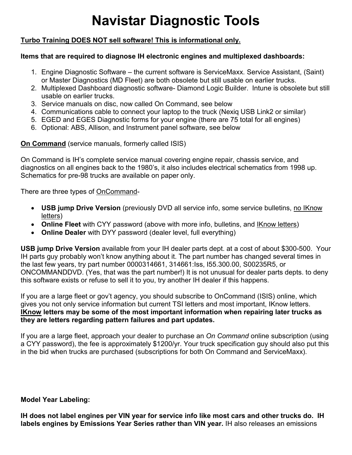# **Navistar Diagnostic Tools**

# **Turbo Training DOES NOT sell software! This is informational only.**

#### **Items that are required to diagnose IH electronic engines and multiplexed dashboards:**

- 1. Engine Diagnostic Software the current software is ServiceMaxx. Service Assistant, (Saint) or Master Diagnostics (MD Fleet) are both obsolete but still usable on earlier trucks.
- 2. Multiplexed Dashboard diagnostic software- Diamond Logic Builder. Intune is obsolete but still usable on earlier trucks.
- 3. Service manuals on disc, now called On Command, see below
- 4. Communications cable to connect your laptop to the truck (Nexiq USB Link2 or similar)
- 5. EGED and EGES Diagnostic forms for your engine (there are 75 total for all engines)
- 6. Optional: ABS, Allison, and Instrument panel software, see below

## **On Command** (service manuals, formerly called ISIS)

On Command is IH's complete service manual covering engine repair, chassis service, and diagnostics on all engines back to the 1980's, it also includes electrical schematics from 1998 up. Schematics for pre-98 trucks are available on paper only.

There are three types of OnCommand-

- **USB jump Drive Version** (previously DVD all service info, some service bulletins, no IKnow letters)
- Online Fleet with CYY password (above with more info, bulletins, and **IKnow letters)**
- **Online Dealer** with DYY password (dealer level, full everything)

**USB jump Drive Version** available from your IH dealer parts dept. at a cost of about \$300-500. Your IH parts guy probably won't know anything about it. The part number has changed several times in the last few years, try part number 0000314661, 314661:Iss, I55.300.00, S00235R5, or ONCOMMANDDVD. (Yes, that was the part number!) It is not unusual for dealer parts depts. to deny this software exists or refuse to sell it to you, try another IH dealer if this happens.

If you are a large fleet or gov't agency, you should subscribe to OnCommand (ISIS) online, which gives you not only service information but current TSI letters and most important, IKnow letters. **IKnow letters may be some of the most important information when repairing later trucks as they are letters regarding pattern failures and part updates.**

If you are a large fleet, approach your dealer to purchase an *On Command* online subscription (using a CYY password), the fee is approximately \$1200/yr. Your truck specification guy should also put this in the bid when trucks are purchased (subscriptions for both On Command and ServiceMaxx).

#### **Model Year Labeling:**

**IH does not label engines per VIN year for service info like most cars and other trucks do. IH labels engines by Emissions Year Series rather than VIN year.** IH also releases an emissions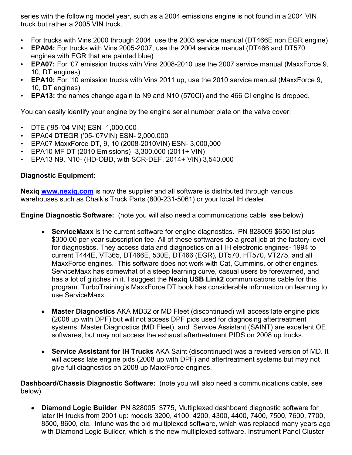series with the following model year, such as a 2004 emissions engine is not found in a 2004 VIN truck but rather a 2005 VIN truck.

- For trucks with Vins 2000 through 2004, use the 2003 service manual (DT466E non EGR engine)
- **EPA04:** For trucks with Vins 2005-2007, use the 2004 service manual (DT466 and DT570 engines with EGR that are painted blue)
- **EPA07:** For '07 emission trucks with Vins 2008-2010 use the 2007 service manual (MaxxForce 9, 10, DT engines)
- **EPA10:** For '10 emission trucks with Vins 2011 up, use the 2010 service manual (MaxxForce 9, 10, DT engines)
- **EPA13:** the names change again to N9 and N10 (570CI) and the 466 CI engine is dropped.

You can easily identify your engine by the engine serial number plate on the valve cover:

- DTE ('95-'04 VIN) ESN- 1,000,000
- EPA04 DTEGR ('05-'07VIN) ESN- 2,000,000
- EPA07 MaxxForce DT, 9, 10 (2008-2010VIN) ESN- 3,000,000
- EPA10 MF DT (2010 Emissions) -3,300,000 (2011+ VIN)
- EPA13 N9, N10- (HD-OBD, with SCR-DEF, 2014+ VIN) 3,540,000

## **Diagnostic Equipment**:

**Nexiq www.nexiq.com** is now the supplier and all software is distributed through various warehouses such as Chalk's Truck Parts (800-231-5061) or your local IH dealer.

**Engine Diagnostic Software:** (note you will also need a communications cable, see below)

- **ServiceMaxx** is the current software for engine diagnostics. PN 828009 \$650 list plus \$300.00 per year subscription fee. All of these softwares do a great job at the factory level for diagnostics. They access data and diagnostics on all IH electronic engines- 1994 to current T444E, VT365, DT466E, 530E, DT466 (EGR), DT570, HT570, VT275, and all MaxxForce engines. This software does not work with Cat, Cummins, or other engines. ServiceMaxx has somewhat of a steep learning curve, casual users be forewarned, and has a lot of glitches in it. I suggest the **Nexiq USB Link2** communications cable for this program. TurboTraining's MaxxForce DT book has considerable information on learning to use ServiceMaxx.
- **Master Diagnostics** AKA MD32 or MD Fleet (discontinued) will access late engine pids (2008 up with DPF) but will not access DPF pids used for diagnosing aftertreatment systems. Master Diagnostics (MD Fleet), and Service Assistant (SAINT) are excellent OE softwares, but may not access the exhaust aftertreatment PIDS on 2008 up trucks.
- **Service Assistant for IH Trucks** AKA Saint (discontinued) was a revised version of MD. It will access late engine pids (2008 up with DPF) and aftertreatment systems but may not give full diagnostics on 2008 up MaxxForce engines.

**Dashboard/Chassis Diagnostic Software:** (note you will also need a communications cable, see below)

 **Diamond Logic Builder** PN 828005 \$775, Multiplexed dashboard diagnostic software for later IH trucks from 2001 up: models 3200, 4100, 4200, 4300, 4400, 7400, 7500, 7600, 7700, 8500, 8600, etc. Intune was the old multiplexed software, which was replaced many years ago with Diamond Logic Builder, which is the new multiplexed software. Instrument Panel Cluster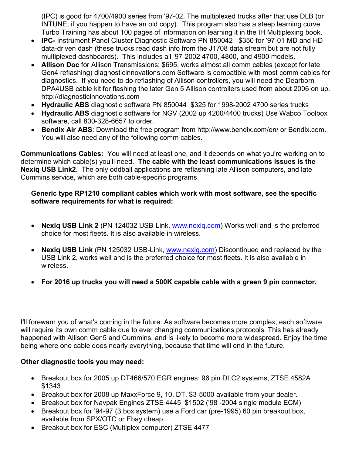(IPC) is good for 4700/4900 series from '97-02. The multiplexed trucks after that use DLB (or INTUNE, if you happen to have an old copy). This program also has a steep learning curve. Turbo Training has about 100 pages of information on learning it in the IH Multiplexing book.

- **IPC-** Instrument Panel Cluster Diagnostic Software PN 850042 \$350 for '97-01 MD and HD data-driven dash (these trucks read dash info from the J1708 data stream but are not fully multiplexed dashboards). This includes all '97-2002 4700, 4800, and 4900 models.
- **Allison Doc** for Allison Transmissions: \$695, works almost all comm cables (except for late Gen4 reflashing) diagnosticinnovations.com Software is compatible with most comm cables for diagnostics. If you need to do reflashing of Allison controllers, you will need the Dearborn DPA4USB cable kit for flashing the later Gen 5 Allison controllers used from about 2006 on up. http://diagnosticinnovations.com
- **Hydraulic ABS** diagnostic software PN 850044 \$325 for 1998-2002 4700 series trucks
- **Hydraulic ABS** diagnostic software for NGV (2002 up 4200/4400 trucks) Use Wabco Toolbox software, call 800-328-6657 to order.
- **Bendix Air ABS**: Download the free program from http://www.bendix.com/en/ or Bendix.com. You will also need any of the following comm cables.

**Communications Cables:** You will need at least one, and it depends on what you're working on to determine which cable(s) you'll need. **The cable with the least communications issues is the Nexiq USB Link2.** The only oddball applications are reflashing late Allison computers, and late Cummins service, which are both cable-specific programs.

#### **Generic type RP1210 compliant cables which work with most software, see the specific software requirements for what is required:**

- **Nexiq USB Link 2** (PN 124032 USB-Link, www.nexiq.com) Works well and is the preferred choice for most fleets. It is also available in wireless.
- **Nexiq USB Link** (PN 125032 USB-Link, www.nexiq.com) Discontinued and replaced by the USB Link 2, works well and is the preferred choice for most fleets. It is also available in wireless.
- **For 2016 up trucks you will need a 500K capable cable with a green 9 pin connector.**

I'll forewarn you of what's coming in the future: As software becomes more complex, each software will require its own comm cable due to ever changing communications protocols. This has already happened with Allison Gen5 and Cummins, and is likely to become more widespread. Enjoy the time being where one cable does nearly everything, because that time will end in the future.

# **Other diagnostic tools you may need:**

- Breakout box for 2005 up DT466/570 EGR engines: 96 pin DLC2 systems, ZTSE 4582A \$1343
- Breakout box for 2008 up MaxxForce 9, 10, DT, \$3-5000 available from your dealer.
- Breakout box for Navpak Engines ZTSE 4445 \$1502 ('98 -2004 single module ECM)
- Breakout box for '94-97 (3 box system) use a Ford car (pre-1995) 60 pin breakout box, available from SPX/OTC or Ebay cheap.
- Breakout box for ESC (Multiplex computer) ZTSE 4477